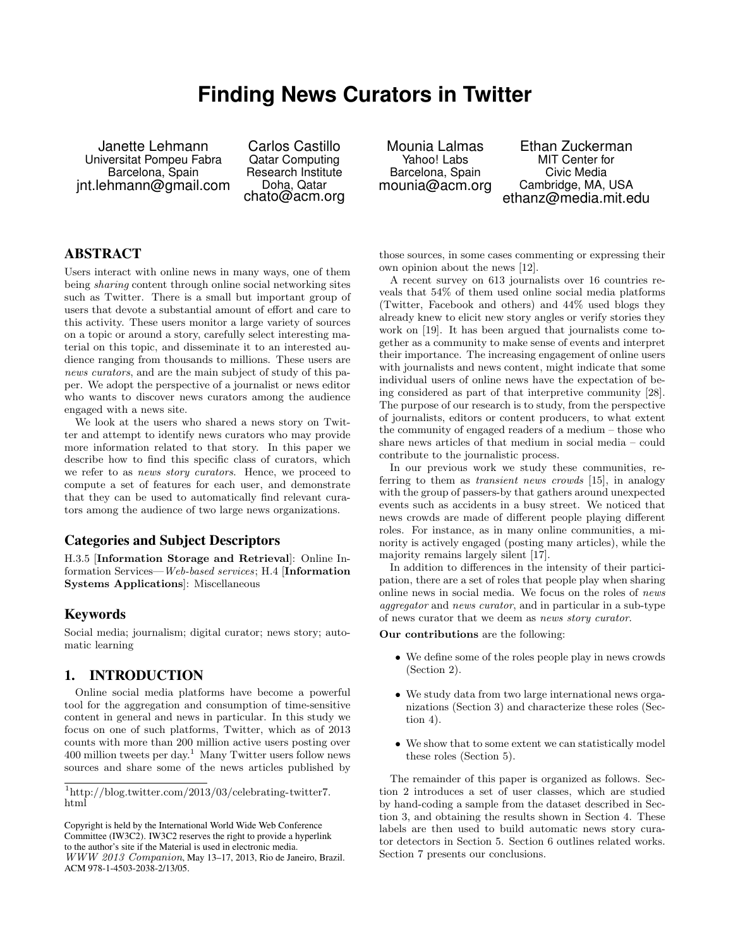# **Finding News Curators in Twitter**

Janette Lehmann Universitat Pompeu Fabra Barcelona, Spain jnt.lehmann@gmail.com

Carlos Castillo Qatar Computing Research Institute Doha, Qatar chato@acm.org

Mounia Lalmas Yahoo! Labs Barcelona, Spain mounia@acm.org

Ethan Zuckerman MIT Center for Civic Media Cambridge, MA, USA ethanz@media.mit.edu

# ABSTRACT

Users interact with online news in many ways, one of them being sharing content through online social networking sites such as Twitter. There is a small but important group of users that devote a substantial amount of effort and care to this activity. These users monitor a large variety of sources on a topic or around a story, carefully select interesting material on this topic, and disseminate it to an interested audience ranging from thousands to millions. These users are news curators, and are the main subject of study of this paper. We adopt the perspective of a journalist or news editor who wants to discover news curators among the audience engaged with a news site.

We look at the users who shared a news story on Twitter and attempt to identify news curators who may provide more information related to that story. In this paper we describe how to find this specific class of curators, which we refer to as news story curators. Hence, we proceed to compute a set of features for each user, and demonstrate that they can be used to automatically find relevant curators among the audience of two large news organizations.

# Categories and Subject Descriptors

H.3.5 [Information Storage and Retrieval]: Online Information Services—Web-based services; H.4 [Information Systems Applications]: Miscellaneous

# Keywords

Social media; journalism; digital curator; news story; automatic learning

# 1. INTRODUCTION

Online social media platforms have become a powerful tool for the aggregation and consumption of time-sensitive content in general and news in particular. In this study we focus on one of such platforms, Twitter, which as of 2013 counts with more than 200 million active users posting over  $400$  million tweets per day.<sup>1</sup> Many Twitter users follow news sources and share some of the news articles published by

those sources, in some cases commenting or expressing their own opinion about the news [12].

A recent survey on 613 journalists over 16 countries reveals that 54% of them used online social media platforms (Twitter, Facebook and others) and 44% used blogs they already knew to elicit new story angles or verify stories they work on [19]. It has been argued that journalists come together as a community to make sense of events and interpret their importance. The increasing engagement of online users with journalists and news content, might indicate that some individual users of online news have the expectation of being considered as part of that interpretive community [28]. The purpose of our research is to study, from the perspective of journalists, editors or content producers, to what extent the community of engaged readers of a medium – those who share news articles of that medium in social media – could contribute to the journalistic process.

In our previous work we study these communities, referring to them as transient news crowds [15], in analogy with the group of passers-by that gathers around unexpected events such as accidents in a busy street. We noticed that news crowds are made of different people playing different roles. For instance, as in many online communities, a minority is actively engaged (posting many articles), while the majority remains largely silent [17].

In addition to differences in the intensity of their participation, there are a set of roles that people play when sharing online news in social media. We focus on the roles of news aggregator and news curator, and in particular in a sub-type of news curator that we deem as news story curator.

#### Our contributions are the following:

- We define some of the roles people play in news crowds (Section 2).
- We study data from two large international news organizations (Section 3) and characterize these roles (Section 4).
- We show that to some extent we can statistically model these roles (Section 5).

The remainder of this paper is organized as follows. Section 2 introduces a set of user classes, which are studied by hand-coding a sample from the dataset described in Section 3, and obtaining the results shown in Section 4. These labels are then used to build automatic news story curator detectors in Section 5. Section 6 outlines related works. Section 7 presents our conclusions.

 $1$ http://blog.twitter.com/2013/03/celebrating-twitter7. html

Copyright is held by the International World Wide Web Conference Committee (IW3C2). IW3C2 reserves the right to provide a hyperlink to the author's site if the Material is used in electronic media. WWW 2013 Companion, May 13–17, 2013, Rio de Janeiro, Brazil. ACM 978-1-4503-2038-2/13/05.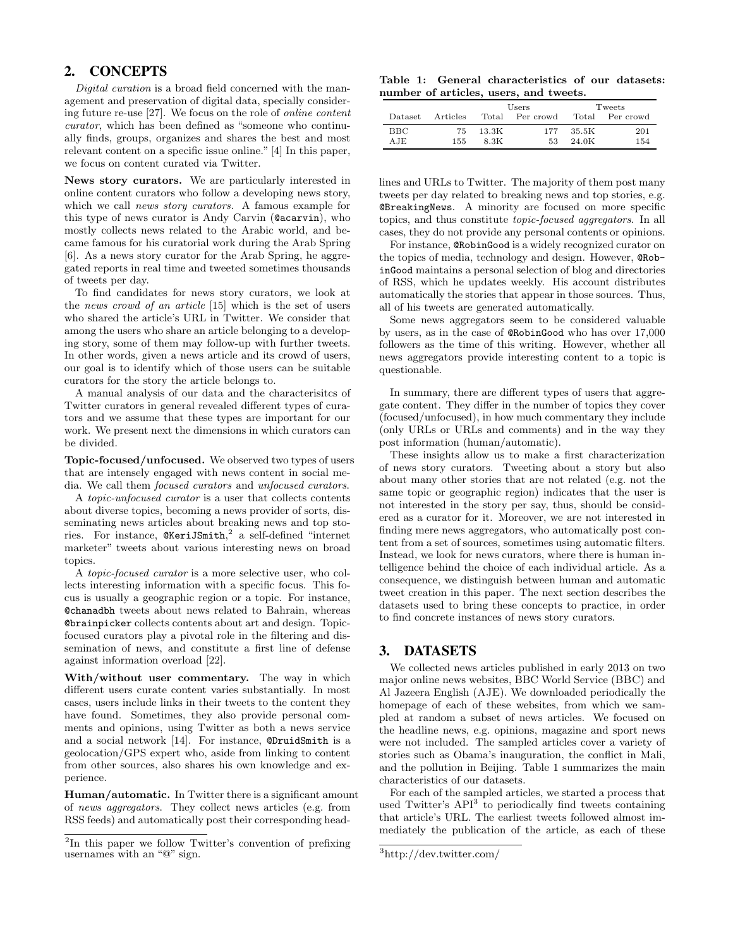# 2. CONCEPTS

Digital curation is a broad field concerned with the management and preservation of digital data, specially considering future re-use [27]. We focus on the role of online content curator, which has been defined as "someone who continually finds, groups, organizes and shares the best and most relevant content on a specific issue online." [4] In this paper, we focus on content curated via Twitter.

News story curators. We are particularly interested in online content curators who follow a developing news story, which we call *news story curators*. A famous example for this type of news curator is Andy Carvin (@acarvin), who mostly collects news related to the Arabic world, and became famous for his curatorial work during the Arab Spring [6]. As a news story curator for the Arab Spring, he aggregated reports in real time and tweeted sometimes thousands of tweets per day.

To find candidates for news story curators, we look at the news crowd of an article [15] which is the set of users who shared the article's URL in Twitter. We consider that among the users who share an article belonging to a developing story, some of them may follow-up with further tweets. In other words, given a news article and its crowd of users, our goal is to identify which of those users can be suitable curators for the story the article belongs to.

A manual analysis of our data and the characterisitcs of Twitter curators in general revealed different types of curators and we assume that these types are important for our work. We present next the dimensions in which curators can be divided.

Topic-focused/unfocused. We observed two types of users that are intensely engaged with news content in social media. We call them focused curators and unfocused curators.

A topic-unfocused curator is a user that collects contents about diverse topics, becoming a news provider of sorts, disseminating news articles about breaking news and top stories. For instance, @KeriJSmith, 2 a self-defined "internet marketer" tweets about various interesting news on broad topics.

A topic-focused curator is a more selective user, who collects interesting information with a specific focus. This focus is usually a geographic region or a topic. For instance, @chanadbh tweets about news related to Bahrain, whereas @brainpicker collects contents about art and design. Topicfocused curators play a pivotal role in the filtering and dissemination of news, and constitute a first line of defense against information overload [22].

With/without user commentary. The way in which different users curate content varies substantially. In most cases, users include links in their tweets to the content they have found. Sometimes, they also provide personal comments and opinions, using Twitter as both a news service and a social network [14]. For instance, @DruidSmith is a geolocation/GPS expert who, aside from linking to content from other sources, also shares his own knowledge and experience.

Human/automatic. In Twitter there is a significant amount of news aggregators. They collect news articles (e.g. from RSS feeds) and automatically post their corresponding head-

Table 1: General characteristics of our datasets: number of articles, users, and tweets.

|         |          | Users |           | Tweets |                 |
|---------|----------|-------|-----------|--------|-----------------|
| Dataset | Articles | Total | Per crowd |        | Total Per crowd |
| BBC     | 75       | 13.3K | 177       | 35.5K  | 201             |
| AJE     | 155      | 8.3K  | 53        | 24.0K  | 154             |

lines and URLs to Twitter. The majority of them post many tweets per day related to breaking news and top stories, e.g. @BreakingNews. A minority are focused on more specific topics, and thus constitute topic-focused aggregators. In all cases, they do not provide any personal contents or opinions.

For instance, @RobinGood is a widely recognized curator on the topics of media, technology and design. However, @RobinGood maintains a personal selection of blog and directories of RSS, which he updates weekly. His account distributes automatically the stories that appear in those sources. Thus, all of his tweets are generated automatically.

Some news aggregators seem to be considered valuable by users, as in the case of @RobinGood who has over 17,000 followers as the time of this writing. However, whether all news aggregators provide interesting content to a topic is questionable.

In summary, there are different types of users that aggregate content. They differ in the number of topics they cover (focused/unfocused), in how much commentary they include (only URLs or URLs and comments) and in the way they post information (human/automatic).

These insights allow us to make a first characterization of news story curators. Tweeting about a story but also about many other stories that are not related (e.g. not the same topic or geographic region) indicates that the user is not interested in the story per say, thus, should be considered as a curator for it. Moreover, we are not interested in finding mere news aggregators, who automatically post content from a set of sources, sometimes using automatic filters. Instead, we look for news curators, where there is human intelligence behind the choice of each individual article. As a consequence, we distinguish between human and automatic tweet creation in this paper. The next section describes the datasets used to bring these concepts to practice, in order to find concrete instances of news story curators.

# 3. DATASETS

We collected news articles published in early 2013 on two major online news websites, BBC World Service (BBC) and Al Jazeera English (AJE). We downloaded periodically the homepage of each of these websites, from which we sampled at random a subset of news articles. We focused on the headline news, e.g. opinions, magazine and sport news were not included. The sampled articles cover a variety of stories such as Obama's inauguration, the conflict in Mali, and the pollution in Beijing. Table 1 summarizes the main characteristics of our datasets.

For each of the sampled articles, we started a process that used Twitter's API<sup>3</sup> to periodically find tweets containing that article's URL. The earliest tweets followed almost immediately the publication of the article, as each of these

<sup>&</sup>lt;sup>2</sup>In this paper we follow Twitter's convention of prefixing usernames with an "@" sign.

<sup>3</sup>http://dev.twitter.com/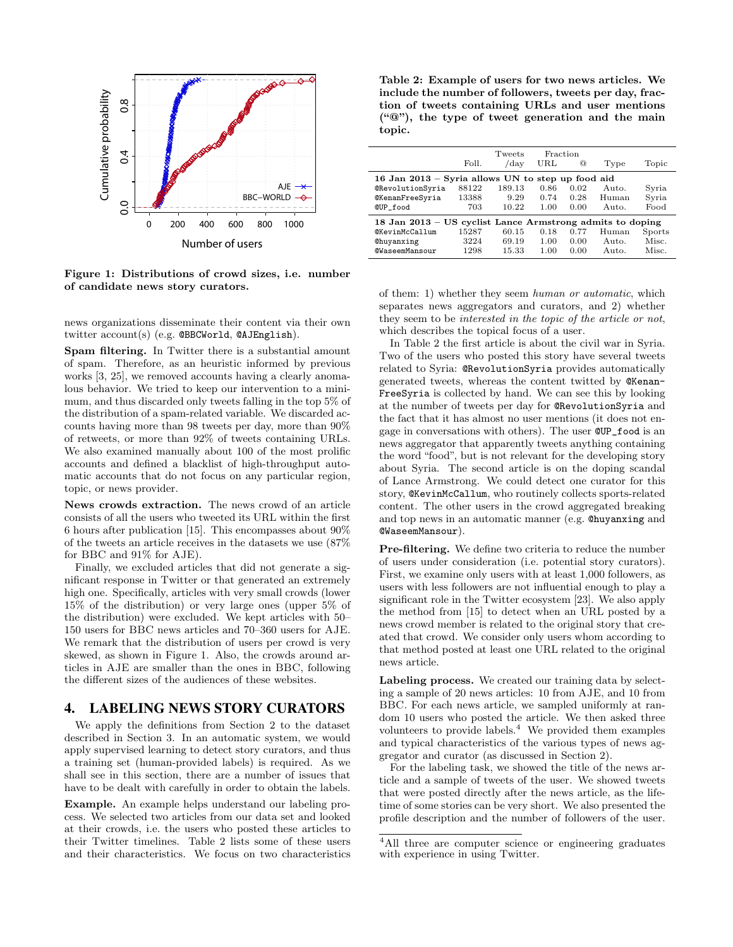

Figure 1: Distributions of crowd sizes, i.e. number of candidate news story curators.

news organizations disseminate their content via their own twitter account(s) (e.g. @BBCWorld, @AJEnglish).

Spam filtering. In Twitter there is a substantial amount of spam. Therefore, as an heuristic informed by previous works [3, 25], we removed accounts having a clearly anomalous behavior. We tried to keep our intervention to a minimum, and thus discarded only tweets falling in the top 5% of the distribution of a spam-related variable. We discarded accounts having more than 98 tweets per day, more than 90% of retweets, or more than 92% of tweets containing URLs. We also examined manually about 100 of the most prolific accounts and defined a blacklist of high-throughput automatic accounts that do not focus on any particular region, topic, or news provider.

News crowds extraction. The news crowd of an article consists of all the users who tweeted its URL within the first 6 hours after publication [15]. This encompasses about 90% of the tweets an article receives in the datasets we use (87% for BBC and 91% for AJE).

Finally, we excluded articles that did not generate a significant response in Twitter or that generated an extremely high one. Specifically, articles with very small crowds (lower 15% of the distribution) or very large ones (upper 5% of the distribution) were excluded. We kept articles with 50– 150 users for BBC news articles and 70–360 users for AJE. We remark that the distribution of users per crowd is very skewed, as shown in Figure 1. Also, the crowds around articles in AJE are smaller than the ones in BBC, following the different sizes of the audiences of these websites.

# 4. LABELING NEWS STORY CURATORS

We apply the definitions from Section 2 to the dataset described in Section 3. In an automatic system, we would apply supervised learning to detect story curators, and thus a training set (human-provided labels) is required. As we shall see in this section, there are a number of issues that have to be dealt with carefully in order to obtain the labels.

Example. An example helps understand our labeling process. We selected two articles from our data set and looked at their crowds, i.e. the users who posted these articles to their Twitter timelines. Table 2 lists some of these users and their characteristics. We focus on two characteristics

Table 2: Example of users for two news articles. We include the number of followers, tweets per day, fraction of tweets containing URLs and user mentions ("@"), the type of tweet generation and the main topic.

|                                                           | Foll. | Tweets<br>/day | Fraction<br>URL | $^{\circ}$ | Type              | Topic  |
|-----------------------------------------------------------|-------|----------------|-----------------|------------|-------------------|--------|
| 16 Jan $2013$ – Syria allows UN to step up food aid       |       |                |                 |            |                   |        |
| <b>@RevolutionSyria</b>                                   | 88122 | 189.13         | 0.86            | 0.02       | Auto.             | Syria  |
| <b>@KenanFreeSyria</b>                                    | 13388 | 9.29           | 0.74            | 0.28       | Human             | Syria  |
| <b>@UP</b> food                                           | 703   | 10.22          | 1.00            | 0.00       | $_{\text{Auto.}}$ | Food   |
| 18 Jan 2013 – US cyclist Lance Armstrong admits to doping |       |                |                 |            |                   |        |
| @KevinMcCallum                                            | 15287 | 60.15          | 0.18            | 0.77       | Human             | Sports |
| Chuyanxing                                                | 3224  | 69.19          | 1.00            | 0.00       | $_{\text{Auto.}}$ | Misc.  |
| <b>@WaseemMansour</b>                                     | 1298  | 15.33          | 1.00            | 0.00       | $_{\text{Auto.}}$ | Misc.  |

of them: 1) whether they seem human or automatic, which separates news aggregators and curators, and 2) whether they seem to be interested in the topic of the article or not, which describes the topical focus of a user.

In Table 2 the first article is about the civil war in Syria. Two of the users who posted this story have several tweets related to Syria: @RevolutionSyria provides automatically generated tweets, whereas the content twitted by @Kenan-FreeSyria is collected by hand. We can see this by looking at the number of tweets per day for @RevolutionSyria and the fact that it has almost no user mentions (it does not engage in conversations with others). The user @UP\_food is an news aggregator that apparently tweets anything containing the word "food", but is not relevant for the developing story about Syria. The second article is on the doping scandal of Lance Armstrong. We could detect one curator for this story, @KevinMcCallum, who routinely collects sports-related content. The other users in the crowd aggregated breaking and top news in an automatic manner (e.g. @huyanxing and @WaseemMansour).

Pre-filtering. We define two criteria to reduce the number of users under consideration (i.e. potential story curators). First, we examine only users with at least 1,000 followers, as users with less followers are not influential enough to play a significant role in the Twitter ecosystem [23]. We also apply the method from [15] to detect when an URL posted by a news crowd member is related to the original story that created that crowd. We consider only users whom according to that method posted at least one URL related to the original news article.

Labeling process. We created our training data by selecting a sample of 20 news articles: 10 from AJE, and 10 from BBC. For each news article, we sampled uniformly at random 10 users who posted the article. We then asked three volunteers to provide labels.<sup>4</sup> We provided them examples and typical characteristics of the various types of news aggregator and curator (as discussed in Section 2).

For the labeling task, we showed the title of the news article and a sample of tweets of the user. We showed tweets that were posted directly after the news article, as the lifetime of some stories can be very short. We also presented the profile description and the number of followers of the user.

<sup>&</sup>lt;sup>4</sup>All three are computer science or engineering graduates with experience in using Twitter.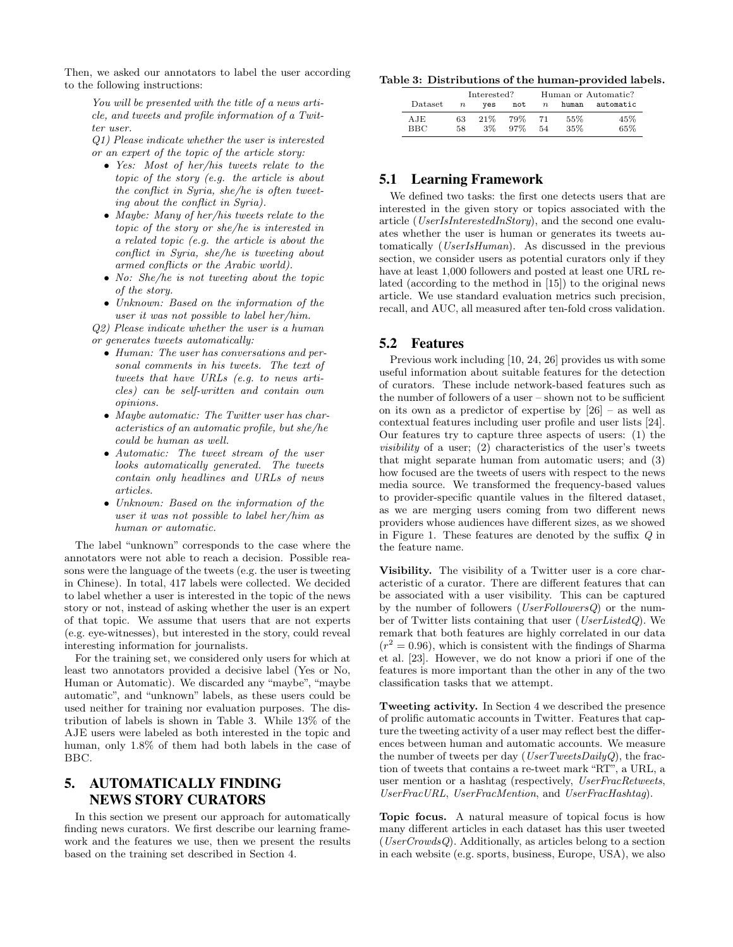Then, we asked our annotators to label the user according to the following instructions:

You will be presented with the title of a news article, and tweets and profile information of a Twitter user.

Q1) Please indicate whether the user is interested or an expert of the topic of the article story:

- Yes: Most of her/his tweets relate to the topic of the story (e.g. the article is about the conflict in Syria, she/he is often tweeting about the conflict in Syria).
- Maybe: Many of her/his tweets relate to the topic of the story or she/he is interested in a related topic (e.g. the article is about the conflict in Syria, she/he is tweeting about armed conflicts or the Arabic world).
- No: She/he is not tweeting about the topic of the story.
- Unknown: Based on the information of the user it was not possible to label her/him.

Q2) Please indicate whether the user is a human or generates tweets automatically:

- Human: The user has conversations and personal comments in his tweets. The text of tweets that have URLs (e.g. to news articles) can be self-written and contain own opinions.
- Maybe automatic: The Twitter user has characteristics of an automatic profile, but she/he could be human as well.
- Automatic: The tweet stream of the user looks automatically generated. The tweets contain only headlines and URLs of news articles.
- Unknown: Based on the information of the user it was not possible to label her/him as human or automatic.

The label "unknown" corresponds to the case where the annotators were not able to reach a decision. Possible reasons were the language of the tweets (e.g. the user is tweeting in Chinese). In total, 417 labels were collected. We decided to label whether a user is interested in the topic of the news story or not, instead of asking whether the user is an expert of that topic. We assume that users that are not experts (e.g. eye-witnesses), but interested in the story, could reveal interesting information for journalists.

For the training set, we considered only users for which at least two annotators provided a decisive label (Yes or No, Human or Automatic). We discarded any "maybe", "maybe automatic", and "unknown" labels, as these users could be used neither for training nor evaluation purposes. The distribution of labels is shown in Table 3. While 13% of the AJE users were labeled as both interested in the topic and human, only 1.8% of them had both labels in the case of BBC.

# 5. AUTOMATICALLY FINDING NEWS STORY CURATORS

In this section we present our approach for automatically finding news curators. We first describe our learning framework and the features we use, then we present the results based on the training set described in Section 4.

#### Table 3: Distributions of the human-provided labels.

|                   | Interested? |              |            | Human or Automatic? |               |            |
|-------------------|-------------|--------------|------------|---------------------|---------------|------------|
| Dataset           | $\, n \,$   | ves          | not        | $\eta$              | human         | automatic  |
| AJE<br><b>BBC</b> | 63<br>58    | 21%<br>$3\%$ | 79%<br>97% | 71<br>54            | $55\%$<br>35% | 45%<br>65% |

# 5.1 Learning Framework

We defined two tasks: the first one detects users that are interested in the given story or topics associated with the article (UserIsInterestedInStory), and the second one evaluates whether the user is human or generates its tweets automatically (UserIsHuman). As discussed in the previous section, we consider users as potential curators only if they have at least 1,000 followers and posted at least one URL related (according to the method in [15]) to the original news article. We use standard evaluation metrics such precision, recall, and AUC, all measured after ten-fold cross validation.

# 5.2 Features

Previous work including [10, 24, 26] provides us with some useful information about suitable features for the detection of curators. These include network-based features such as the number of followers of a user – shown not to be sufficient on its own as a predictor of expertise by [26] – as well as contextual features including user profile and user lists [24]. Our features try to capture three aspects of users: (1) the *visibility* of a user;  $(2)$  characteristics of the user's tweets that might separate human from automatic users; and (3) how focused are the tweets of users with respect to the news media source. We transformed the frequency-based values to provider-specific quantile values in the filtered dataset, as we are merging users coming from two different news providers whose audiences have different sizes, as we showed in Figure 1. These features are denoted by the suffix Q in the feature name.

Visibility. The visibility of a Twitter user is a core characteristic of a curator. There are different features that can be associated with a user visibility. This can be captured by the number of followers (UserFollowersQ) or the number of Twitter lists containing that user (UserListedQ). We remark that both features are highly correlated in our data  $(r^2 = 0.96)$ , which is consistent with the findings of Sharma et al. [23]. However, we do not know a priori if one of the features is more important than the other in any of the two classification tasks that we attempt.

Tweeting activity. In Section 4 we described the presence of prolific automatic accounts in Twitter. Features that capture the tweeting activity of a user may reflect best the differences between human and automatic accounts. We measure the number of tweets per day ( $UserTweetsDailyQ$ ), the fraction of tweets that contains a re-tweet mark "RT", a URL, a user mention or a hashtag (respectively, UserFracRetweets, UserFracURL, UserFracMention, and UserFracHashtag).

Topic focus. A natural measure of topical focus is how many different articles in each dataset has this user tweeted  $(UserCrowsQ)$ . Additionally, as articles belong to a section in each website (e.g. sports, business, Europe, USA), we also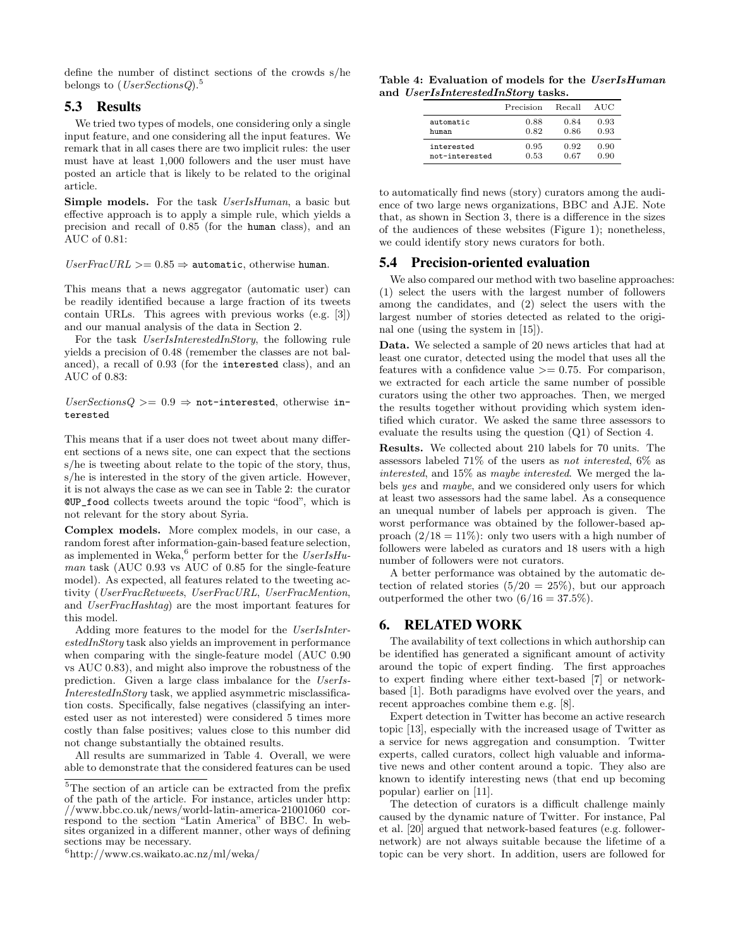define the number of distinct sections of the crowds s/he belongs to  $(UserSectionsQ).$ <sup>5</sup>

### 5.3 Results

We tried two types of models, one considering only a single input feature, and one considering all the input features. We remark that in all cases there are two implicit rules: the user must have at least 1,000 followers and the user must have posted an article that is likely to be related to the original article.

Simple models. For the task UserIsHuman, a basic but effective approach is to apply a simple rule, which yields a precision and recall of 0.85 (for the human class), and an AUC of 0.81:

 $UserFracURL \ge 0.85 \Rightarrow$  automatic, otherwise human.

This means that a news aggregator (automatic user) can be readily identified because a large fraction of its tweets contain URLs. This agrees with previous works (e.g. [3]) and our manual analysis of the data in Section 2.

For the task UserIsInterestedInStory, the following rule yields a precision of 0.48 (remember the classes are not balanced), a recall of 0.93 (for the interested class), and an AUC of 0.83:

UserSections $Q \ge 0.9 \Rightarrow$  not-interested, otherwise interested

This means that if a user does not tweet about many different sections of a news site, one can expect that the sections s/he is tweeting about relate to the topic of the story, thus, s/he is interested in the story of the given article. However, it is not always the case as we can see in Table 2: the curator @UP\_food collects tweets around the topic "food", which is not relevant for the story about Syria.

Complex models. More complex models, in our case, a random forest after information-gain-based feature selection, as implemented in Weka, $^6$  perform better for the UserIsHuman task (AUC 0.93 vs AUC of 0.85 for the single-feature model). As expected, all features related to the tweeting activity (UserFracRetweets, UserFracURL, UserFracMention, and UserFracHashtag) are the most important features for this model.

Adding more features to the model for the UserIsInterestedInStory task also yields an improvement in performance when comparing with the single-feature model (AUC 0.90 vs AUC 0.83), and might also improve the robustness of the prediction. Given a large class imbalance for the UserIs-InterestedInStory task, we applied asymmetric misclassification costs. Specifically, false negatives (classifying an interested user as not interested) were considered 5 times more costly than false positives; values close to this number did not change substantially the obtained results.

All results are summarized in Table 4. Overall, we were able to demonstrate that the considered features can be used

Table 4: Evaluation of models for the UserIsHuman and UserIsInterestedInStory tasks.

|                | Precision | Recall | AUC  |
|----------------|-----------|--------|------|
| automatic      | 0.88      | 0.84   | 0.93 |
| human          | 0.82      | 0.86   | 0.93 |
| interested     | 0.95      | 0.92   | 0.90 |
| not-interested | 0.53      | 0.67   | 0.90 |

to automatically find news (story) curators among the audience of two large news organizations, BBC and AJE. Note that, as shown in Section 3, there is a difference in the sizes of the audiences of these websites (Figure 1); nonetheless, we could identify story news curators for both.

### 5.4 Precision-oriented evaluation

We also compared our method with two baseline approaches: (1) select the users with the largest number of followers among the candidates, and (2) select the users with the largest number of stories detected as related to the original one (using the system in [15]).

Data. We selected a sample of 20 news articles that had at least one curator, detected using the model that uses all the features with a confidence value  $\geq$  = 0.75. For comparison, we extracted for each article the same number of possible curators using the other two approaches. Then, we merged the results together without providing which system identified which curator. We asked the same three assessors to evaluate the results using the question (Q1) of Section 4.

Results. We collected about 210 labels for 70 units. The assessors labeled 71% of the users as not interested, 6% as interested, and 15% as maybe interested. We merged the labels yes and maybe, and we considered only users for which at least two assessors had the same label. As a consequence an unequal number of labels per approach is given. The worst performance was obtained by the follower-based approach  $(2/18 = 11\%)$ : only two users with a high number of followers were labeled as curators and 18 users with a high number of followers were not curators.

A better performance was obtained by the automatic detection of related stories  $(5/20 = 25\%)$ , but our approach outperformed the other two  $(6/16 = 37.5\%).$ 

### 6. RELATED WORK

The availability of text collections in which authorship can be identified has generated a significant amount of activity around the topic of expert finding. The first approaches to expert finding where either text-based [7] or networkbased [1]. Both paradigms have evolved over the years, and recent approaches combine them e.g. [8].

Expert detection in Twitter has become an active research topic [13], especially with the increased usage of Twitter as a service for news aggregation and consumption. Twitter experts, called curators, collect high valuable and informative news and other content around a topic. They also are known to identify interesting news (that end up becoming popular) earlier on [11].

The detection of curators is a difficult challenge mainly caused by the dynamic nature of Twitter. For instance, Pal et al. [20] argued that network-based features (e.g. followernetwork) are not always suitable because the lifetime of a topic can be very short. In addition, users are followed for

 ${\rm ^5The}$  section of an article can be extracted from the prefix of the path of the article. For instance, articles under http: //www.bbc.co.uk/news/world-latin-america-21001060 correspond to the section "Latin America" of BBC. In websites organized in a different manner, other ways of defining sections may be necessary.

<sup>6</sup>http://www.cs.waikato.ac.nz/ml/weka/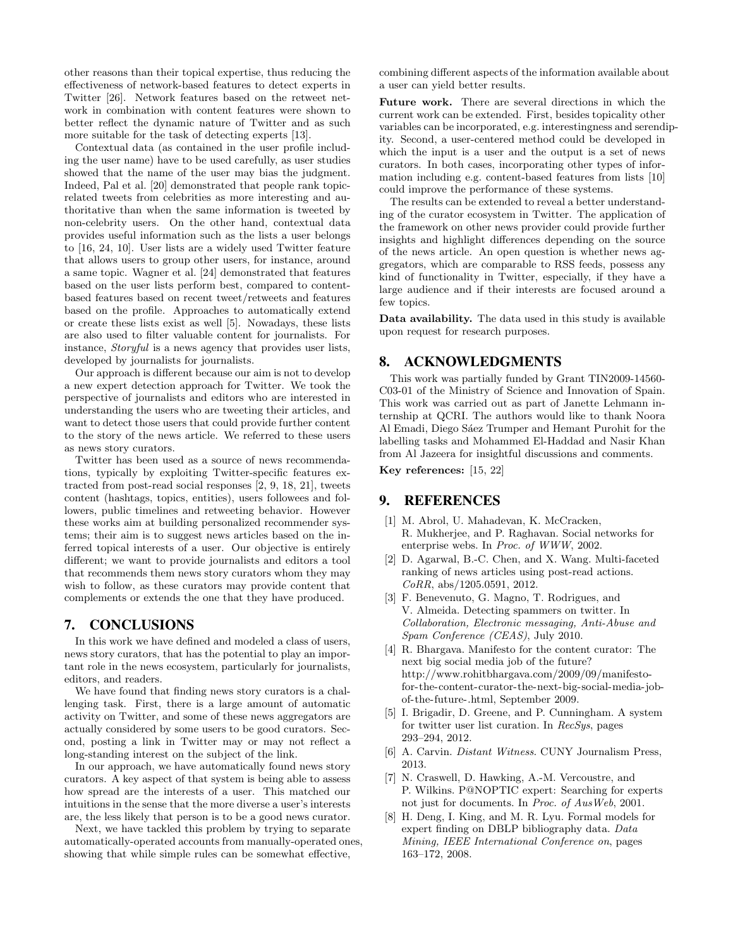other reasons than their topical expertise, thus reducing the effectiveness of network-based features to detect experts in Twitter [26]. Network features based on the retweet network in combination with content features were shown to better reflect the dynamic nature of Twitter and as such more suitable for the task of detecting experts [13].

Contextual data (as contained in the user profile including the user name) have to be used carefully, as user studies showed that the name of the user may bias the judgment. Indeed, Pal et al. [20] demonstrated that people rank topicrelated tweets from celebrities as more interesting and authoritative than when the same information is tweeted by non-celebrity users. On the other hand, contextual data provides useful information such as the lists a user belongs to [16, 24, 10]. User lists are a widely used Twitter feature that allows users to group other users, for instance, around a same topic. Wagner et al. [24] demonstrated that features based on the user lists perform best, compared to contentbased features based on recent tweet/retweets and features based on the profile. Approaches to automatically extend or create these lists exist as well [5]. Nowadays, these lists are also used to filter valuable content for journalists. For instance, Storyful is a news agency that provides user lists, developed by journalists for journalists.

Our approach is different because our aim is not to develop a new expert detection approach for Twitter. We took the perspective of journalists and editors who are interested in understanding the users who are tweeting their articles, and want to detect those users that could provide further content to the story of the news article. We referred to these users as news story curators.

Twitter has been used as a source of news recommendations, typically by exploiting Twitter-specific features extracted from post-read social responses [2, 9, 18, 21], tweets content (hashtags, topics, entities), users followees and followers, public timelines and retweeting behavior. However these works aim at building personalized recommender systems; their aim is to suggest news articles based on the inferred topical interests of a user. Our objective is entirely different; we want to provide journalists and editors a tool that recommends them news story curators whom they may wish to follow, as these curators may provide content that complements or extends the one that they have produced.

# 7. CONCLUSIONS

In this work we have defined and modeled a class of users, news story curators, that has the potential to play an important role in the news ecosystem, particularly for journalists, editors, and readers.

We have found that finding news story curators is a challenging task. First, there is a large amount of automatic activity on Twitter, and some of these news aggregators are actually considered by some users to be good curators. Second, posting a link in Twitter may or may not reflect a long-standing interest on the subject of the link.

In our approach, we have automatically found news story curators. A key aspect of that system is being able to assess how spread are the interests of a user. This matched our intuitions in the sense that the more diverse a user's interests are, the less likely that person is to be a good news curator.

Next, we have tackled this problem by trying to separate automatically-operated accounts from manually-operated ones, showing that while simple rules can be somewhat effective,

combining different aspects of the information available about a user can yield better results.

Future work. There are several directions in which the current work can be extended. First, besides topicality other variables can be incorporated, e.g. interestingness and serendipity. Second, a user-centered method could be developed in which the input is a user and the output is a set of news curators. In both cases, incorporating other types of information including e.g. content-based features from lists [10] could improve the performance of these systems.

The results can be extended to reveal a better understanding of the curator ecosystem in Twitter. The application of the framework on other news provider could provide further insights and highlight differences depending on the source of the news article. An open question is whether news aggregators, which are comparable to RSS feeds, possess any kind of functionality in Twitter, especially, if they have a large audience and if their interests are focused around a few topics.

Data availability. The data used in this study is available upon request for research purposes.

# 8. ACKNOWLEDGMENTS

This work was partially funded by Grant TIN2009-14560- C03-01 of the Ministry of Science and Innovation of Spain. This work was carried out as part of Janette Lehmann internship at QCRI. The authors would like to thank Noora Al Emadi, Diego Sáez Trumper and Hemant Purohit for the labelling tasks and Mohammed El-Haddad and Nasir Khan from Al Jazeera for insightful discussions and comments.

Key references: [15, 22]

### 9. REFERENCES

- [1] M. Abrol, U. Mahadevan, K. McCracken, R. Mukherjee, and P. Raghavan. Social networks for enterprise webs. In Proc. of WWW, 2002.
- [2] D. Agarwal, B.-C. Chen, and X. Wang. Multi-faceted ranking of news articles using post-read actions. CoRR, abs/1205.0591, 2012.
- [3] F. Benevenuto, G. Magno, T. Rodrigues, and V. Almeida. Detecting spammers on twitter. In Collaboration, Electronic messaging, Anti-Abuse and Spam Conference (CEAS), July 2010.
- [4] R. Bhargava. Manifesto for the content curator: The next big social media job of the future? http://www.rohitbhargava.com/2009/09/manifestofor-the-content-curator-the-next-big-social-media-jobof-the-future-.html, September 2009.
- [5] I. Brigadir, D. Greene, and P. Cunningham. A system for twitter user list curation. In RecSys, pages 293–294, 2012.
- [6] A. Carvin. Distant Witness. CUNY Journalism Press, 2013.
- [7] N. Craswell, D. Hawking, A.-M. Vercoustre, and P. Wilkins. P@NOPTIC expert: Searching for experts not just for documents. In Proc. of AusWeb, 2001.
- [8] H. Deng, I. King, and M. R. Lyu. Formal models for expert finding on DBLP bibliography data. Data Mining, IEEE International Conference on, pages 163–172, 2008.